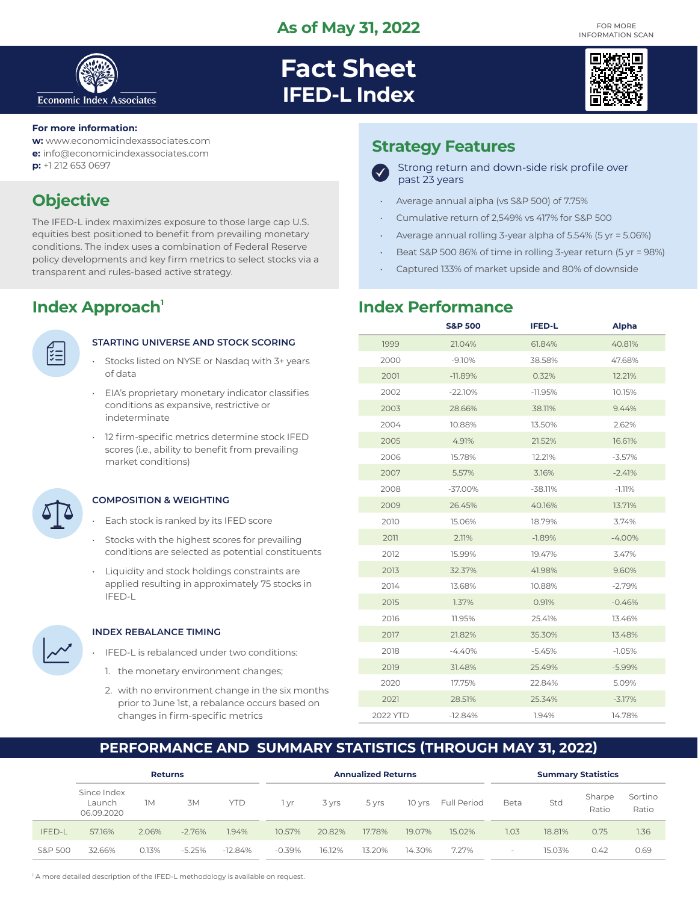

# **Fact Sheet IFED-L Index**



#### **For more information:**

**w:** www.economicindexassociates.com

- **e:** info@economicindexassociates.com
- **p:** +1 212 653 0697

# **Objective**

The IFED-L index maximizes exposure to those large cap U.S. equities best positioned to benefit from prevailing monetary conditions. The index uses a combination of Federal Reserve policy developments and key firm metrics to select stocks via a transparent and rules-based active strategy.

## **Index Approach<sup>1</sup>**

| ×<br>r. |  |
|---------|--|
|         |  |
|         |  |

#### **STARTING UNIVERSE AND STOCK SCORING**

- Stocks listed on NYSE or Nasdaq with 3+ years of data
- EIA's proprietary monetary indicator classifies conditions as expansive, restrictive or indeterminate
- 12 firm-specific metrics determine stock IFED scores (i.e., ability to benefit from prevailing market conditions)

**COMPOSITION & WEIGHTING**

- Each stock is ranked by its IFED score
- Stocks with the highest scores for prevailing conditions are selected as potential constituents
- Liquidity and stock holdings constraints are applied resulting in approximately 75 stocks in IFED-L



#### **INDEX REBALANCE TIMING**

- IFED-L is rebalanced under two conditions:
	- 1. the monetary environment changes;
	- 2. with no environment change in the six months prior to June 1st, a rebalance occurs based on changes in firm-specific metrics

### **Strategy Features**



- Average annual alpha (vs S&P 500) of 7.75%
- Cumulative return of 2,549% vs 417% for S&P 500
- Average annual rolling 3-year alpha of 5.54% (5 yr = 5.06%)
- Beat S&P 500 86% of time in rolling 3-year return (5 yr = 98%)
- Captured 133% of market upside and 80% of downside

### **Index Performance**

|          | <b>S&amp;P 500</b> | <b>IFED-L</b> | Alpha    |
|----------|--------------------|---------------|----------|
| 1999     | 21.04%             | 61.84%        | 40.81%   |
| 2000     | $-9.10%$           | 38.58%        | 47.68%   |
| 2001     | $-11.89%$          | 0.32%         | 12.21%   |
| 2002     | $-22.10%$          | $-11.95%$     | 10.15%   |
| 2003     | 28.66%             | 38.11%        | 9.44%    |
| 2004     | 10.88%             | 13.50%        | 2.62%    |
| 2005     | 4.91%              | 21.52%        | 16.61%   |
| 2006     | 15.78%             | 12.21%        | $-3.57%$ |
| 2007     | 5.57%              | 3.16%         | $-2.41%$ |
| 2008     | $-37.00%$          | $-38.11%$     | $-1.11%$ |
| 2009     | 26.45%             | 40.16%        | 13.71%   |
| 2010     | 15.06%             | 18.79%        | 3.74%    |
| 2011     | 2.11%              | $-1.89%$      | $-4.00%$ |
| 2012     | 15.99%             | 19.47%        | 3.47%    |
| 2013     | 32.37%             | 41.98%        | 9.60%    |
| 2014     | 13.68%             | 10.88%        | $-2.79%$ |
| 2015     | 1.37%              | 0.91%         | $-0.46%$ |
| 2016     | 11.95%             | 25.41%        | 13.46%   |
| 2017     | 21.82%             | 35.30%        | 13.48%   |
| 2018     | $-4.40%$           | $-5.45%$      | $-1.05%$ |
| 2019     | 31.48%             | 25.49%        | $-5.99%$ |
| 2020     | 17.75%             | 22.84%        | 5.09%    |
| 2021     | 28.51%             | 25.34%        | $-3.17%$ |
| 2022 YTD | $-12.84%$          | 1.94%         | 14.78%   |

### **PERFORMANCE AND SUMMARY STATISTICS (THROUGH MAY 31, 2022)**

|                    | <b>Returns</b>                      |       |          | <b>Annualized Returns</b> |          |        |        | <b>Summary Statistics</b> |             |        |        |                 |                  |
|--------------------|-------------------------------------|-------|----------|---------------------------|----------|--------|--------|---------------------------|-------------|--------|--------|-----------------|------------------|
|                    | Since Index<br>Launch<br>06.09.2020 | 1M    | 3M       | <b>YTD</b>                | l vr     | 3 yrs  | 5 yrs  | 10 yrs                    | Full Period | Beta   | Std    | Sharpe<br>Ratio | Sortino<br>Ratio |
| IFED-L             | 57.16%                              | 2.06% | $-2.76%$ | 1.94%                     | 10.57%   | 20.82% | 17.78% | 19.07%                    | 15.02%      | 1.03   | 18.81% | 0.75            | 1.36             |
| <b>S&amp;P 500</b> | 32.66%                              | 0.13% | $-5.25%$ | $-12.84%$                 | $-0.39%$ | 16.12% | 13.20% | 14.30%                    | 7.27%       | $\sim$ | 15.03% | 0.42            | 0.69             |

<sup>1</sup> A more detailed description of the IFED-L methodology is available on request.